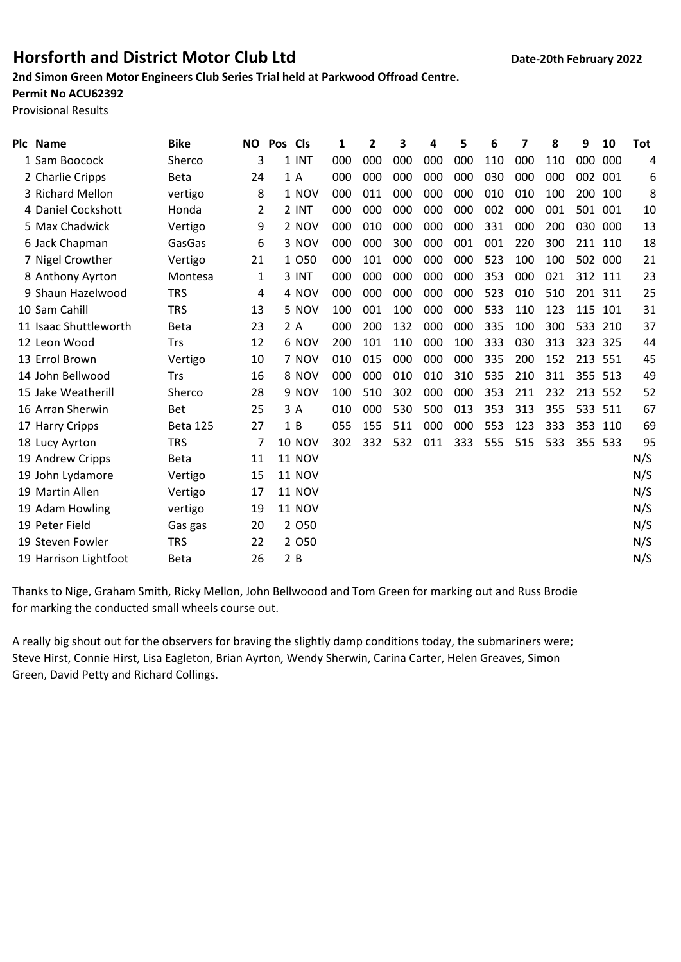## Horsforth and District Motor Club Ltd **District Date-20th February 2022**

## **2nd Simon Green Motor Engineers Club Series Trial held at Parkwood Offroad Centre.**

**Permit No ACU62392**

Provisional Results

| Plc Name              | <b>Bike</b> | NO Pos |    | <b>Cls</b>    | 1   | 2   | 3   | 4   | 5   | 6   | 7   | 8   | 9   | 10  | Tot |
|-----------------------|-------------|--------|----|---------------|-----|-----|-----|-----|-----|-----|-----|-----|-----|-----|-----|
| 1 Sam Boocock         | Sherco      | 3      |    | $1$ INT       | 000 | 000 | 000 | 000 | 000 | 110 | 000 | 110 | 000 | 000 | 4   |
| 2 Charlie Cripps      | <b>Beta</b> | 24     |    | 1 A           | 000 | 000 | 000 | 000 | 000 | 030 | 000 | 000 | 002 | 001 | 6   |
| 3 Richard Mellon      | vertigo     | 8      |    | 1 NOV         | 000 | 011 | 000 | 000 | 000 | 010 | 010 | 100 | 200 | 100 | 8   |
| 4 Daniel Cockshott    | Honda       | 2      |    | 2 INT         | 000 | 000 | 000 | 000 | 000 | 002 | 000 | 001 | 501 | 001 | 10  |
| 5 Max Chadwick        | Vertigo     | 9      |    | 2 NOV         | 000 | 010 | 000 | 000 | 000 | 331 | 000 | 200 | 030 | 000 | 13  |
| 6 Jack Chapman        | GasGas      | 6      |    | 3 NOV         | 000 | 000 | 300 | 000 | 001 | 001 | 220 | 300 | 211 | 110 | 18  |
| 7 Nigel Crowther      | Vertigo     | 21     |    | 1 0 5 0       | 000 | 101 | 000 | 000 | 000 | 523 | 100 | 100 | 502 | 000 | 21  |
| 8 Anthony Ayrton      | Montesa     | 1      |    | 3 INT         | 000 | 000 | 000 | 000 | 000 | 353 | 000 | 021 | 312 | 111 | 23  |
| 9 Shaun Hazelwood     | <b>TRS</b>  | 4      |    | 4 NOV         | 000 | 000 | 000 | 000 | 000 | 523 | 010 | 510 | 201 | 311 | 25  |
| 10 Sam Cahill         | <b>TRS</b>  | 13     |    | 5 NOV         | 100 | 001 | 100 | 000 | 000 | 533 | 110 | 123 | 115 | 101 | 31  |
| 11 Isaac Shuttleworth | <b>Beta</b> | 23     |    | 2 A           | 000 | 200 | 132 | 000 | 000 | 335 | 100 | 300 | 533 | 210 | 37  |
| 12 Leon Wood          | <b>Trs</b>  | 12     |    | 6 NOV         | 200 | 101 | 110 | 000 | 100 | 333 | 030 | 313 | 323 | 325 | 44  |
| 13 Errol Brown        | Vertigo     | 10     |    | 7 NOV         | 010 | 015 | 000 | 000 | 000 | 335 | 200 | 152 | 213 | 551 | 45  |
| 14 John Bellwood      | <b>Trs</b>  | 16     |    | 8 NOV         | 000 | 000 | 010 | 010 | 310 | 535 | 210 | 311 | 355 | 513 | 49  |
| 15 Jake Weatherill    | Sherco      | 28     |    | 9 NOV         | 100 | 510 | 302 | 000 | 000 | 353 | 211 | 232 | 213 | 552 | 52  |
| 16 Arran Sherwin      | <b>Bet</b>  | 25     |    | 3 A           | 010 | 000 | 530 | 500 | 013 | 353 | 313 | 355 | 533 | 511 | 67  |
| 17 Harry Cripps       | Beta 125    | 27     | 1B |               | 055 | 155 | 511 | 000 | 000 | 553 | 123 | 333 | 353 | 110 | 69  |
| 18 Lucy Ayrton        | <b>TRS</b>  | 7      |    | <b>10 NOV</b> | 302 | 332 | 532 | 011 | 333 | 555 | 515 | 533 | 355 | 533 | 95  |
| 19 Andrew Cripps      | <b>Beta</b> | 11     |    | <b>11 NOV</b> |     |     |     |     |     |     |     |     |     |     | N/S |
| 19 John Lydamore      | Vertigo     | 15     |    | <b>11 NOV</b> |     |     |     |     |     |     |     |     |     |     | N/S |
| 19 Martin Allen       | Vertigo     | 17     |    | <b>11 NOV</b> |     |     |     |     |     |     |     |     |     |     | N/S |
| 19 Adam Howling       | vertigo     | 19     |    | <b>11 NOV</b> |     |     |     |     |     |     |     |     |     |     | N/S |
| 19 Peter Field        | Gas gas     | 20     |    | 2 0 5 0       |     |     |     |     |     |     |     |     |     |     | N/S |
| 19 Steven Fowler      | <b>TRS</b>  | 22     |    | 2 0 5 0       |     |     |     |     |     |     |     |     |     |     | N/S |
| 19 Harrison Lightfoot | <b>Beta</b> | 26     | 2B |               |     |     |     |     |     |     |     |     |     |     | N/S |

Thanks to Nige, Graham Smith, Ricky Mellon, John Bellwoood and Tom Green for marking out and Russ Brodie for marking the conducted small wheels course out.

A really big shout out for the observers for braving the slightly damp conditions today, the submariners were; Steve Hirst, Connie Hirst, Lisa Eagleton, Brian Ayrton, Wendy Sherwin, Carina Carter, Helen Greaves, Simon Green, David Petty and Richard Collings.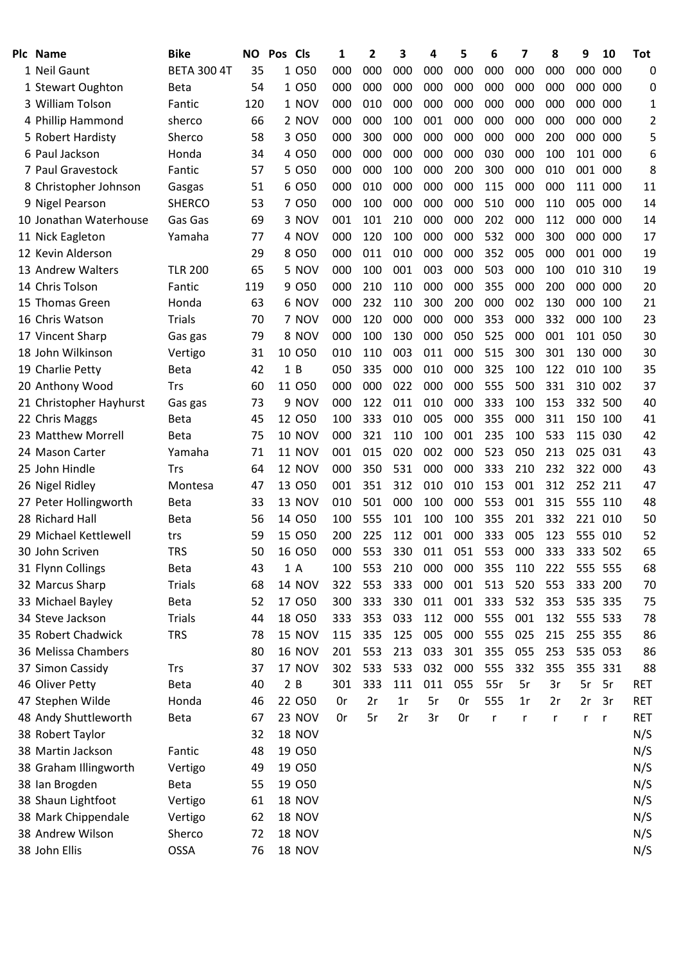|    | Plc Name                | <b>Bike</b>        | <b>NO</b> | Pos | <b>Cls</b>    | 1   | 2   | 3   | 4   | 5   | 6            | 7   | 8            | 9       | 10           | <b>Tot</b> |
|----|-------------------------|--------------------|-----------|-----|---------------|-----|-----|-----|-----|-----|--------------|-----|--------------|---------|--------------|------------|
|    | 1 Neil Gaunt            | <b>BETA 300 4T</b> | 35        |     | 1 0 5 0       | 000 | 000 | 000 | 000 | 000 | 000          | 000 | 000          | 000     | 000          | 0          |
|    | 1 Stewart Oughton       | <b>Beta</b>        | 54        |     | 1 0 5 0       | 000 | 000 | 000 | 000 | 000 | 000          | 000 | 000          | 000     | 000          | 0          |
|    | 3 William Tolson        | Fantic             | 120       |     | 1 NOV         | 000 | 010 | 000 | 000 | 000 | 000          | 000 | 000          | 000     | 000          | 1          |
|    | 4 Phillip Hammond       | sherco             | 66        |     | 2 NOV         | 000 | 000 | 100 | 001 | 000 | 000          | 000 | 000          | 000     | 000          | 2          |
|    | 5 Robert Hardisty       | Sherco             | 58        |     | 3 0 5 0       | 000 | 300 | 000 | 000 | 000 | 000          | 000 | 200          | 000     | 000          | 5          |
|    | 6 Paul Jackson          | Honda              | 34        |     | 4 0 5 0       | 000 | 000 | 000 | 000 | 000 | 030          | 000 | 100          | 101     | 000          | 6          |
|    | 7 Paul Gravestock       | Fantic             | 57        |     | 5 0 5 0       | 000 | 000 | 100 | 000 | 200 | 300          | 000 | 010          | 001     | 000          | 8          |
|    | 8 Christopher Johnson   | Gasgas             | 51        |     | 6 050         | 000 | 010 | 000 | 000 | 000 | 115          | 000 | 000          | 111     | 000          | 11         |
|    | 9 Nigel Pearson         | <b>SHERCO</b>      | 53        |     | 7 050         | 000 | 100 | 000 | 000 | 000 | 510          | 000 | 110          | 005     | 000          | 14         |
|    | 10 Jonathan Waterhouse  | Gas Gas            | 69        |     | 3 NOV         | 001 | 101 | 210 | 000 | 000 | 202          | 000 | 112          | 000     | 000          | 14         |
|    | 11 Nick Eagleton        | Yamaha             | 77        |     | 4 NOV         | 000 | 120 | 100 | 000 | 000 | 532          | 000 | 300          | 000     | 000          | 17         |
|    | 12 Kevin Alderson       |                    | 29        |     | 8 0 5 0       | 000 | 011 | 010 | 000 | 000 | 352          | 005 | 000          | 001     | 000          | 19         |
|    | 13 Andrew Walters       | <b>TLR 200</b>     | 65        |     | 5 NOV         | 000 | 100 | 001 | 003 | 000 | 503          | 000 | 100          | 010     | 310          | 19         |
|    | 14 Chris Tolson         | Fantic             | 119       |     | 9 0 5 0       | 000 | 210 | 110 | 000 | 000 | 355          | 000 | 200          | 000     | 000          | 20         |
| 15 | <b>Thomas Green</b>     | Honda              | 63        |     | 6 NOV         | 000 | 232 | 110 | 300 | 200 | 000          | 002 | 130          | 000     | 100          | 21         |
| 16 | Chris Watson            | <b>Trials</b>      | 70        |     | 7 NOV         | 000 | 120 | 000 | 000 | 000 | 353          | 000 | 332          | 000     | 100          | 23         |
|    | 17 Vincent Sharp        | Gas gas            | 79        |     | 8 NOV         | 000 | 100 | 130 | 000 | 050 | 525          | 000 | 001          | 101     | 050          | 30         |
|    | 18 John Wilkinson       | Vertigo            | 31        |     | 10 050        | 010 | 110 | 003 | 011 | 000 | 515          | 300 | 301          | 130     | 000          | 30         |
|    | 19 Charlie Petty        | <b>Beta</b>        | 42        |     | 1B            | 050 | 335 | 000 | 010 | 000 | 325          | 100 | 122          | 010     | 100          | 35         |
|    | 20 Anthony Wood         | Trs                | 60        |     | 11 050        | 000 | 000 | 022 | 000 | 000 | 555          | 500 | 331          | 310     | 002          | 37         |
|    | 21 Christopher Hayhurst | Gas gas            | 73        |     | 9 NOV         | 000 | 122 | 011 | 010 | 000 | 333          | 100 | 153          | 332     | 500          | 40         |
|    | 22 Chris Maggs          | <b>Beta</b>        | 45        |     | 12 050        | 100 | 333 | 010 | 005 | 000 | 355          | 000 | 311          | 150     | 100          | 41         |
|    | 23 Matthew Morrell      | <b>Beta</b>        | 75        |     | <b>10 NOV</b> | 000 | 321 | 110 | 100 | 001 | 235          | 100 | 533          | 115     | 030          | 42         |
|    | 24 Mason Carter         | Yamaha             | 71        |     | <b>11 NOV</b> | 001 | 015 | 020 | 002 | 000 | 523          | 050 | 213          | 025     | 031          | 43         |
|    | 25 John Hindle          | Trs                | 64        |     | <b>12 NOV</b> | 000 | 350 | 531 | 000 | 000 | 333          | 210 | 232          | 322     | 000          | 43         |
|    | 26 Nigel Ridley         | Montesa            | 47        |     | 13 050        | 001 | 351 | 312 | 010 | 010 | 153          | 001 | 312          | 252     | 211          | 47         |
|    | 27 Peter Hollingworth   | <b>Beta</b>        | 33        |     | 13 NOV        | 010 | 501 | 000 | 100 | 000 | 553          | 001 | 315          | 555     | 110          | 48         |
|    | 28 Richard Hall         | <b>Beta</b>        | 56        |     | 14 050        | 100 | 555 | 101 | 100 | 100 | 355          | 201 | 332          | 221     | 010          | 50         |
|    | 29 Michael Kettlewell   | trs                | 59        |     | 15 050        | 200 | 225 | 112 | 001 | 000 | 333          | 005 | 123          | 555     | 010          | 52         |
|    | 30 John Scriven         | <b>TRS</b>         | 50        |     | 16 050        | 000 | 553 | 330 | 011 | 051 | 553          | 000 | 333          | 333     | 502          | 65         |
|    | 31 Flynn Collings       | <b>Beta</b>        | 43        |     | 1 A           | 100 | 553 | 210 | 000 | 000 | 355          | 110 | 222          | 555 555 |              | 68         |
|    | 32 Marcus Sharp         | <b>Trials</b>      | 68        |     | <b>14 NOV</b> | 322 | 553 | 333 | 000 | 001 | 513          | 520 | 553          | 333 200 |              | 70         |
|    | 33 Michael Bayley       | Beta               | 52        |     | 17 050        | 300 | 333 | 330 | 011 | 001 | 333          | 532 | 353          | 535 335 |              | 75         |
|    | 34 Steve Jackson        | <b>Trials</b>      | 44        |     | 18 050        | 333 | 353 | 033 | 112 | 000 | 555          | 001 | 132          | 555 533 |              | 78         |
|    | 35 Robert Chadwick      | <b>TRS</b>         | 78        |     | <b>15 NOV</b> | 115 | 335 | 125 | 005 | 000 | 555          | 025 | 215          | 255 355 |              | 86         |
|    | 36 Melissa Chambers     |                    | 80        |     | <b>16 NOV</b> | 201 | 553 | 213 | 033 | 301 | 355          | 055 | 253          | 535 053 |              | 86         |
|    | 37 Simon Cassidy        | <b>Trs</b>         | 37        |     | <b>17 NOV</b> | 302 | 533 | 533 | 032 | 000 | 555          | 332 | 355          | 355 331 |              | 88         |
|    | 46 Oliver Petty         | Beta               | 40        |     | 2B            | 301 | 333 | 111 | 011 | 055 | 55r          | 5r  | 3r           | 5r      | 5r           | <b>RET</b> |
|    | 47 Stephen Wilde        | Honda              | 46        |     | 22 050        | 0r  | 2r  | 1r  | 5r  | 0r  | 555          | 1r  | 2r           | 2r      | 3r           | <b>RET</b> |
|    | 48 Andy Shuttleworth    | Beta               | 67        |     | <b>23 NOV</b> | 0r  | 5r  | 2r  | 3r  | 0r  | $\mathsf{r}$ | r   | $\mathsf{r}$ | r       | $\mathsf{r}$ | <b>RET</b> |
|    | 38 Robert Taylor        |                    | 32        |     | <b>18 NOV</b> |     |     |     |     |     |              |     |              |         |              | N/S        |
|    | 38 Martin Jackson       | Fantic             | 48        |     | 19 050        |     |     |     |     |     |              |     |              |         |              | N/S        |
|    | 38 Graham Illingworth   | Vertigo            | 49        |     | 19 050        |     |     |     |     |     |              |     |              |         |              | N/S        |
|    | 38 Ian Brogden          | <b>Beta</b>        | 55        |     | 19 050        |     |     |     |     |     |              |     |              |         |              | N/S        |
|    | 38 Shaun Lightfoot      | Vertigo            | 61        |     | <b>18 NOV</b> |     |     |     |     |     |              |     |              |         |              | N/S        |
|    | 38 Mark Chippendale     | Vertigo            | 62        |     | <b>18 NOV</b> |     |     |     |     |     |              |     |              |         |              | N/S        |
|    | 38 Andrew Wilson        | Sherco             | 72        |     | <b>18 NOV</b> |     |     |     |     |     |              |     |              |         |              | N/S        |
|    | 38 John Ellis           | <b>OSSA</b>        | 76        |     | <b>18 NOV</b> |     |     |     |     |     |              |     |              |         |              | N/S        |